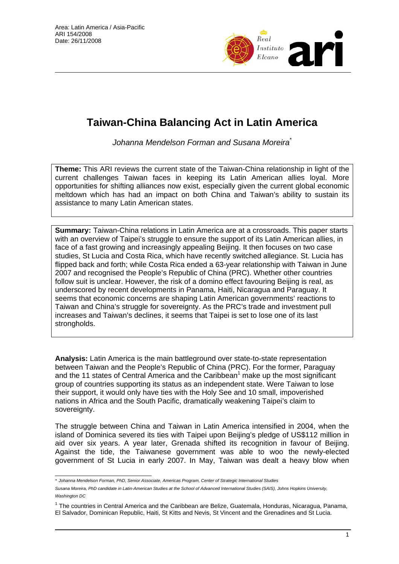

# **Taiwan-China Balancing Act in Latin America**

*Johanna Mendelson Forman and Susana Moreira*\*

**Theme:** This ARI reviews the current state of the Taiwan-China relationship in light of the current challenges Taiwan faces in keeping its Latin American allies loyal. More opportunities for shifting alliances now exist, especially given the current global economic meltdown which has had an impact on both China and Taiwan's ability to sustain its assistance to many Latin American states.

**Summary:** Taiwan-China relations in Latin America are at a crossroads. This paper starts with an overview of Taipei's struggle to ensure the support of its Latin American allies, in face of a fast growing and increasingly appealing Beijing. It then focuses on two case studies, St Lucia and Costa Rica, which have recently switched allegiance. St. Lucia has flipped back and forth; while Costa Rica ended a 63-year relationship with Taiwan in June 2007 and recognised the People's Republic of China (PRC). Whether other countries follow suit is unclear. However, the risk of a domino effect favouring Beijing is real, as underscored by recent developments in Panama, Haiti, Nicaragua and Paraguay. It seems that economic concerns are shaping Latin American governments' reactions to Taiwan and China's struggle for sovereignty. As the PRC's trade and investment pull increases and Taiwan's declines, it seems that Taipei is set to lose one of its last strongholds.

**Analysis:** Latin America is the main battleground over state-to-state representation between Taiwan and the People's Republic of China (PRC). For the former, Paraguay and the 11 states of Central America and the Caribbean<sup>1</sup> make up the most significant group of countries supporting its status as an independent state. Were Taiwan to lose their support, it would only have ties with the Holy See and 10 small, impoverished nations in Africa and the South Pacific, dramatically weakening Taipei's claim to sovereignty.

The struggle between China and Taiwan in Latin America intensified in 2004, when the island of Dominica severed its ties with Taipei upon Beijing's pledge of US\$112 million in aid over six years. A year later, Grenada shifted its recognition in favour of Beijing. Against the tide, the Taiwanese government was able to woo the newly-elected government of St Lucia in early 2007. In May, Taiwan was dealt a heavy blow when

 *\* Johanna Mendelson Forman, PhD, Senior Associate, Americas Program, Center of Strategic International Studies* 

*Susana Moreira, PhD candidate in Latin-American Studies at the School of Advanced International Studies (SAIS), Johns Hopkins University, Washington DC*

<sup>&</sup>lt;sup>1</sup> The countries in Central America and the Caribbean are Belize, Guatemala, Honduras, Nicaragua, Panama, El Salvador, Dominican Republic, Haiti, St Kitts and Nevis, St Vincent and the Grenadines and St Lucia.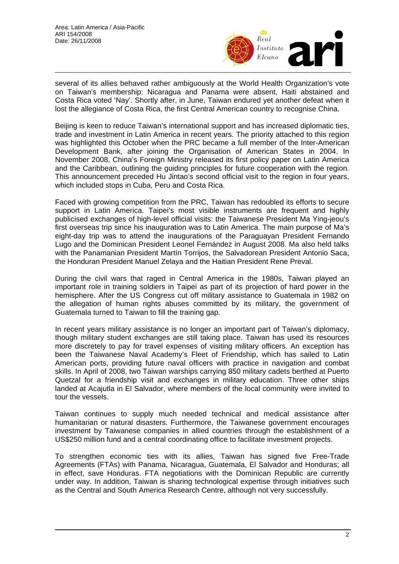

several of its allies behaved rather ambiguously at the World Health Organization's vote on Taiwan's membership: Nicaragua and Panama were absent, Haiti abstained and Costa Rica voted 'Nay'. Shortly after, in June, Taiwan endured yet another defeat when it lost the allegiance of Costa Rica, the first Central American country to recognise China.

Beijing is keen to reduce Taiwan's international support and has increased diplomatic ties, trade and investment in Latin America in recent years. The priority attached to this region was highlighted this October when the PRC became a full member of the Inter-American Development Bank, after joining the Organisation of American States in 2004. In November 2008, China's Foreign Ministry released its first policy paper on Latin America and the Caribbean, outlining the guiding principles for future cooperation with the region. This announcement preceded Hu Jintao's second official visit to the region in four years, which included stops in Cuba, Peru and Costa Rica.

Faced with growing competition from the PRC, Taiwan has redoubled its efforts to secure support in Latin America. Taipei's most visible instruments are frequent and highly publicised exchanges of high-level official visits: the Taiwanese President Ma Ying-jeou's first overseas trip since his inauguration was to Latin America. The main purpose of Ma's eight-day trip was to attend the inaugurations of the Paraguayan President Fernando Lugo and the Dominican President Leonel Fernández in August 2008. Ma also held talks with the Panamanian President Martín Torrijos, the Salvadorean President Antonio Saca, the Honduran President Manuel Zelaya and the Haitian President Rene Preval.

During the civil wars that raged in Central America in the 1980s, Taiwan played an important role in training soldiers in Taipei as part of its projection of hard power in the hemisphere. After the US Congress cut off military assistance to Guatemala in 1982 on the allegation of human rights abuses committed by its military, the government of Guatemala turned to Taiwan to fill the training gap.

In recent years military assistance is no longer an important part of Taiwan's diplomacy, though military student exchanges are still taking place. Taiwan has used its resources more discretely to pay for travel expenses of visiting military officers. An exception has been the Taiwanese Naval Academy's Fleet of Friendship, which has sailed to Latin American ports, providing future naval officers with practice in navigation and combat skills. In April of 2008, two Taiwan warships carrying 850 military cadets berthed at Puerto Quetzal for a friendship visit and exchanges in military education. Three other ships landed at Acajutla in El Salvador, where members of the local community were invited to tour the vessels.

Taiwan continues to supply much needed technical and medical assistance after humanitarian or natural disasters. Furthermore, the Taiwanese government encourages investment by Taiwanese companies in allied countries through the establishment of a US\$250 million fund and a central coordinating office to facilitate investment projects.

To strengthen economic ties with its allies, Taiwan has signed five Free-Trade Agreements (FTAs) with Panama, Nicaragua, Guatemala, El Salvador and Honduras; all in effect, save Honduras. FTA negotiations with the Dominican Republic are currently under way. In addition, Taiwan is sharing technological expertise through initiatives such as the Central and South America Research Centre, although not very successfully.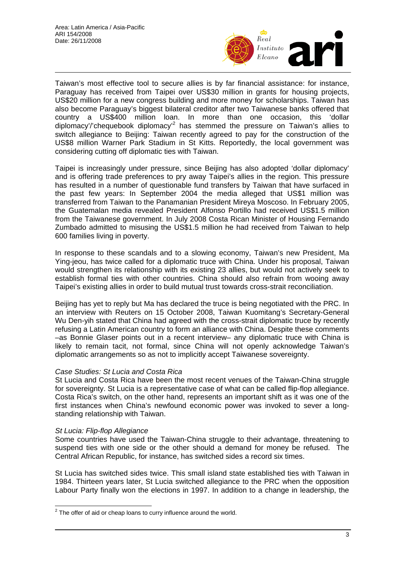

Taiwan's most effective tool to secure allies is by far financial assistance: for instance, Paraguay has received from Taipei over US\$30 million in grants for housing projects, US\$20 million for a new congress building and more money for scholarships. Taiwan has also become Paraguay's biggest bilateral creditor after two Taiwanese banks offered that country a US\$400 million loan. In more than one occasion, this 'dollar diplomacy'/'chequebook diplomacy'<sup>2</sup> has stemmed the pressure on Taiwan's allies to switch allegiance to Beijing: Taiwan recently agreed to pay for the construction of the US\$8 million Warner Park Stadium in St Kitts. Reportedly, the local government was considering cutting off diplomatic ties with Taiwan.

Taipei is increasingly under pressure, since Beijing has also adopted 'dollar diplomacy' and is offering trade preferences to pry away Taipei's allies in the region. This pressure has resulted in a number of questionable fund transfers by Taiwan that have surfaced in the past few years: In September 2004 the media alleged that US\$1 million was transferred from Taiwan to the Panamanian President Mireya Moscoso. In February 2005, the Guatemalan media revealed President Alfonso Portillo had received US\$1.5 million from the Taiwanese government. In July 2008 Costa Rican Minister of Housing Fernando Zumbado admitted to misusing the US\$1.5 million he had received from Taiwan to help 600 families living in poverty.

In response to these scandals and to a slowing economy, Taiwan's new President, Ma Ying-jeou, has twice called for a diplomatic truce with China. Under his proposal, Taiwan would strengthen its relationship with its existing 23 allies, but would not actively seek to establish formal ties with other countries. China should also refrain from wooing away Taipei's existing allies in order to build mutual trust towards cross-strait reconciliation.

Beijing has yet to reply but Ma has declared the truce is being negotiated with the PRC. In an interview with Reuters on 15 October 2008, Taiwan Kuomitang's Secretary-General Wu Den-yih stated that China had agreed with the cross-strait diplomatic truce by recently refusing a Latin American country to form an alliance with China. Despite these comments –as Bonnie Glaser points out in a recent interview– any diplomatic truce with China is likely to remain tacit, not formal, since China will not openly acknowledge Taiwan's diplomatic arrangements so as not to implicitly accept Taiwanese sovereignty.

## *Case Studies: St Lucia and Costa Rica*

St Lucia and Costa Rica have been the most recent venues of the Taiwan-China struggle for sovereignty. St Lucia is a representative case of what can be called flip-flop allegiance. Costa Rica's switch, on the other hand, represents an important shift as it was one of the first instances when China's newfound economic power was invoked to sever a longstanding relationship with Taiwan.

#### *St Lucia: Flip-flop Allegiance*

 $\overline{a}$ 

Some countries have used the Taiwan-China struggle to their advantage, threatening to suspend ties with one side or the other should a demand for money be refused. The Central African Republic, for instance, has switched sides a record six times.

St Lucia has switched sides twice. This small island state established ties with Taiwan in 1984. Thirteen years later, St Lucia switched allegiance to the PRC when the opposition Labour Party finally won the elections in 1997. In addition to a change in leadership, the

 $2$  The offer of aid or cheap loans to curry influence around the world.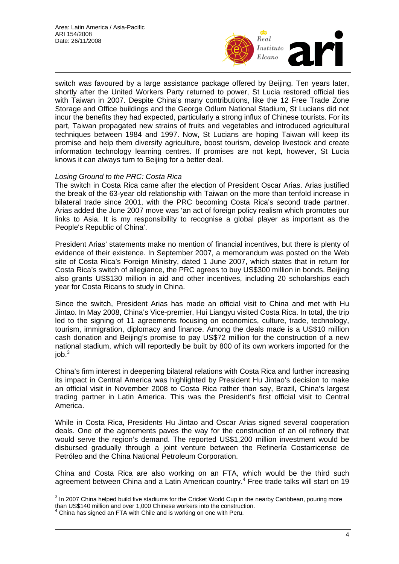

switch was favoured by a large assistance package offered by Beijing. Ten years later, shortly after the United Workers Party returned to power, St Lucia restored official ties with Taiwan in 2007. Despite China's many contributions, like the 12 Free Trade Zone Storage and Office buildings and the George Odlum National Stadium, St Lucians did not incur the benefits they had expected, particularly a strong influx of Chinese tourists. For its part, Taiwan propagated new strains of fruits and vegetables and introduced agricultural techniques between 1984 and 1997. Now, St Lucians are hoping Taiwan will keep its promise and help them diversify agriculture, boost tourism, develop livestock and create information technology learning centres. If promises are not kept, however, St Lucia knows it can always turn to Beijing for a better deal.

## *Losing Ground to the PRC: Costa Rica*

The switch in Costa Rica came after the election of President Oscar Arias. Arias justified the break of the 63-year old relationship with Taiwan on the more than tenfold increase in bilateral trade since 2001, with the PRC becoming Costa Rica's second trade partner. Arias added the June 2007 move was 'an act of foreign policy realism which promotes our links to Asia. It is my responsibility to recognise a global player as important as the People's Republic of China'.

President Arias' statements make no mention of financial incentives, but there is plenty of evidence of their existence. In September 2007, a memorandum was posted on the Web site of Costa Rica's Foreign Ministry, dated 1 June 2007, which states that in return for Costa Rica's switch of allegiance, the PRC agrees to buy US\$300 million in bonds. Beijing also grants US\$130 million in aid and other incentives, including 20 scholarships each year for Costa Ricans to study in China.

Since the switch, President Arias has made an official visit to China and met with Hu Jintao. In May 2008, China's Vice-premier, Hui Liangyu visited Costa Rica. In total, the trip led to the signing of 11 agreements focusing on economics, culture, trade, technology, tourism, immigration, diplomacy and finance. Among the deals made is a US\$10 million cash donation and Beijing's promise to pay US\$72 million for the construction of a new national stadium, which will reportedly be built by 800 of its own workers imported for the  $job.<sup>3</sup>$ 

China's firm interest in deepening bilateral relations with Costa Rica and further increasing its impact in Central America was highlighted by President Hu Jintao's decision to make an official visit in November 2008 to Costa Rica rather than say, Brazil, China's largest trading partner in Latin America. This was the President's first official visit to Central America.

While in Costa Rica, Presidents Hu Jintao and Oscar Arias signed several cooperation deals. One of the agreements paves the way for the construction of an oil refinery that would serve the region's demand. The reported US\$1,200 million investment would be disbursed gradually through a joint venture between the Refinería Costarricense de Petróleo and the China National Petroleum Corporation.

China and Costa Rica are also working on an FTA, which would be the third such agreement between China and a Latin American country.<sup>4</sup> Free trade talks will start on 19

 3 In 2007 China helped build five stadiums for the Cricket World Cup in the nearby Caribbean, pouring more than US\$140 million and over 1,000 Chinese workers into the construction. 4

 $4$  China has signed an FTA with Chile and is working on one with Peru.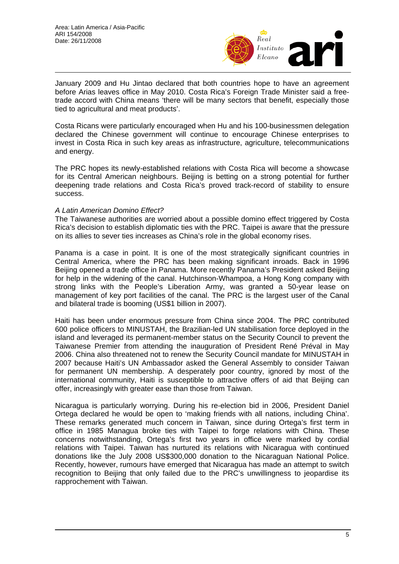

January 2009 and Hu Jintao declared that both countries hope to have an agreement before Arias leaves office in May 2010. Costa Rica's Foreign Trade Minister said a freetrade accord with China means 'there will be many sectors that benefit, especially those tied to agricultural and meat products'.

Costa Ricans were particularly encouraged when Hu and his 100-businessmen delegation declared the Chinese government will continue to encourage Chinese enterprises to invest in Costa Rica in such key areas as infrastructure, agriculture, telecommunications and energy.

The PRC hopes its newly-established relations with Costa Rica will become a showcase for its Central American neighbours. Beijing is betting on a strong potential for further deepening trade relations and Costa Rica's proved track-record of stability to ensure success.

#### *A Latin American Domino Effect?*

The Taiwanese authorities are worried about a possible domino effect triggered by Costa Rica's decision to establish diplomatic ties with the PRC. Taipei is aware that the pressure on its allies to sever ties increases as China's role in the global economy rises.

Panama is a case in point. It is one of the most strategically significant countries in Central America, where the PRC has been making significant inroads. Back in 1996 Beijing opened a trade office in Panama. More recently Panama's President asked Beijing for help in the widening of the canal. Hutchinson-Whampoa, a Hong Kong company with strong links with the People's Liberation Army, was granted a 50-year lease on management of key port facilities of the canal. The PRC is the largest user of the Canal and bilateral trade is booming (US\$1 billion in 2007).

Haiti has been under enormous pressure from China since 2004. The PRC contributed 600 police officers to MINUSTAH, the Brazilian-led UN stabilisation force deployed in the island and leveraged its permanent-member status on the Security Council to prevent the Taiwanese Premier from attending the inauguration of President René Préval in May 2006. China also threatened not to renew the Security Council mandate for MINUSTAH in 2007 because Haiti's UN Ambassador asked the General Assembly to consider Taiwan for permanent UN membership. A desperately poor country, ignored by most of the international community, Haiti is susceptible to attractive offers of aid that Beijing can offer, increasingly with greater ease than those from Taiwan.

Nicaragua is particularly worrying. During his re-election bid in 2006, President Daniel Ortega declared he would be open to 'making friends with all nations, including China'. These remarks generated much concern in Taiwan, since during Ortega's first term in office in 1985 Managua broke ties with Taipei to forge relations with China. These concerns notwithstanding, Ortega's first two years in office were marked by cordial relations with Taipei. Taiwan has nurtured its relations with Nicaragua with continued donations like the July 2008 US\$300,000 donation to the Nicaraguan National Police. Recently, however, rumours have emerged that Nicaragua has made an attempt to switch recognition to Beijing that only failed due to the PRC's unwillingness to jeopardise its rapprochement with Taiwan.